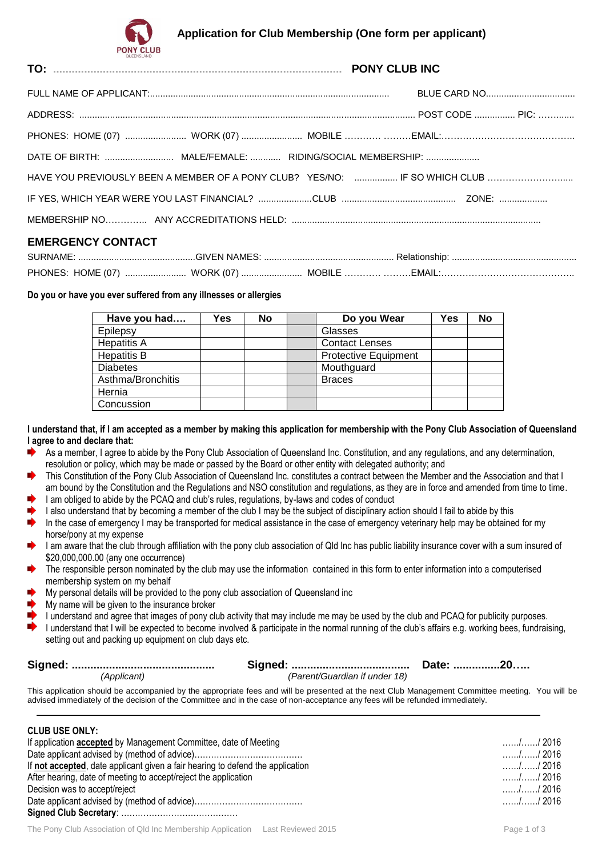## **Application for Club Membership (One form per applicant)**



**TO: ............................................................................................. PONY CLUB INC**

| <b>EMERGENCY CONTACT</b> |  |
|--------------------------|--|

### **EMERGENCY CONTACT**

| <b>SURNAME</b> | GIVEN |         | Reiationsnio |
|----------------|-------|---------|--------------|
| PHONES: HOME   | WORK  | MORIL F | – MAII<br>.  |

#### **Do you or have you ever suffered from any illnesses or allergies**

| Have you had       | Yes | No | Do you Wear                 | Yes | <b>No</b> |
|--------------------|-----|----|-----------------------------|-----|-----------|
| Epilepsy           |     |    | Glasses                     |     |           |
| <b>Hepatitis A</b> |     |    | <b>Contact Lenses</b>       |     |           |
| <b>Hepatitis B</b> |     |    | <b>Protective Equipment</b> |     |           |
| <b>Diabetes</b>    |     |    | Mouthguard                  |     |           |
| Asthma/Bronchitis  |     |    | <b>Braces</b>               |     |           |
| Hernia             |     |    |                             |     |           |
| Concussion         |     |    |                             |     |           |

**I understand that, if I am accepted as a member by making this application for membership with the Pony Club Association of Queensland I agree to and declare that:**

- ∙ As a member, I agree to abide by the Pony Club Association of Queensland Inc. Constitution, and any regulations, and any determination, resolution or policy, which may be made or passed by the Board or other entity with delegated authority; and
- a) This Constitution of the Pony Club Association of Queensland Inc. constitutes a contract between the Member and the Association and that I am bound by the Constitution and the Regulations and NSO constitution and regulations, as they are in force and amended from time to time.
- I am obliged to abide by the PCAQ and club's rules, regulations, by-laws and codes of conduct
- I also understand that by becoming a member of the club I may be the subject of disciplinary action should I fail to abide by this
- $\bullet$ In the case of emergency I may be transported for medical assistance in the case of emergency veterinary help may be obtained for my horse/pony at my expense
- I am aware that the club through affiliation with the pony club association of Qld Inc has public liability insurance cover with a sum insured of \$20,000,000.00 (any one occurrence)
- The responsible person nominated by the club may use the information contained in this form to enter information into a computerised membership system on my behalf
- My personal details will be provided to the pony club association of Queensland inc
- My name will be given to the insurance broker
- I understand and agree that images of pony club activity that may include me may be used by the club and PCAQ for publicity purposes.
- ∙ I understand that I will be expected to become involved & participate in the normal running of the club's affairs e.g. working bees, fundraising, setting out and packing up equipment on club days etc.

| (Applicant) | (Parent/Guardian if under 18) |  |
|-------------|-------------------------------|--|

This application should be accompanied by the appropriate fees and will be presented at the next Club Management Committee meeting. You will be advised immediately of the decision of the Committee and in the case of non-acceptance any fees will be refunded immediately.

#### **CLUB USE ONLY:**

| $9 - 9 - 9 - 9 - 1$                                                            |            |
|--------------------------------------------------------------------------------|------------|
| If application accepted by Management Committee, date of Meeting               | . 2016     |
|                                                                                | . 2016     |
| If not accepted, date applicant given a fair hearing to defend the application | . 2016     |
| After hearing, date of meeting to accept/reject the application                | . / / 2016 |
| Decision was to accept/reject                                                  | . 2016     |
|                                                                                | . / / 2016 |
|                                                                                |            |
|                                                                                |            |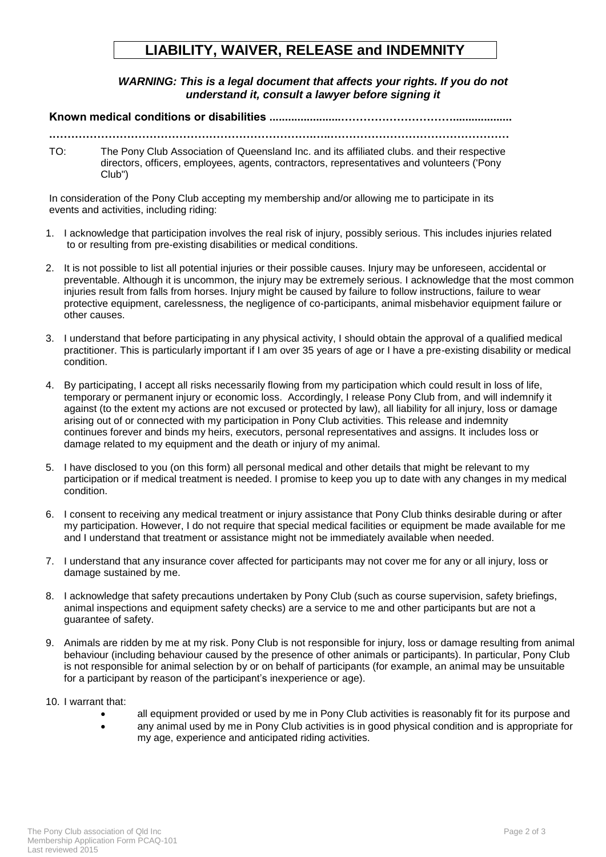# **LIABILITY, WAIVER, RELEASE and INDEMNITY**

*WARNING: This is a legal document that affects your rights. If you do not understand it, consult a lawyer before signing it*

#### **Known medical conditions or disabilities .......................…………………………...................**

**.…………………………………………………………….…..…………………………………………**

TO: The Pony Club Association of Queensland Inc. and its affiliated clubs. and their respective directors, officers, employees, agents, contractors, representatives and volunteers ('Pony Club")

In consideration of the Pony Club accepting my membership and/or allowing me to participate in its events and activities, including riding:

- 1. I acknowledge that participation involves the real risk of injury, possibly serious. This includes injuries related to or resulting from pre-existing disabilities or medical conditions.
- 2. It is not possible to list all potential injuries or their possible causes. Injury may be unforeseen, accidental or preventable. Although it is uncommon, the injury may be extremely serious. I acknowledge that the most common injuries result from falls from horses. Injury might be caused by failure to follow instructions, failure to wear protective equipment, carelessness, the negligence of co-participants, animal misbehavior equipment failure or other causes.
- 3. I understand that before participating in any physical activity, I should obtain the approval of a qualified medical practitioner. This is particularly important if I am over 35 years of age or I have a pre-existing disability or medical condition.
- 4. By participating, I accept all risks necessarily flowing from my participation which could result in loss of life, temporary or permanent injury or economic loss. Accordingly, I release Pony Club from, and will indemnify it against (to the extent my actions are not excused or protected by law), all liability for all injury, loss or damage arising out of or connected with my participation in Pony Club activities. This release and indemnity continues forever and binds my heirs, executors, personal representatives and assigns. It includes loss or damage related to my equipment and the death or injury of my animal.
- 5. I have disclosed to you (on this form) all personal medical and other details that might be relevant to my participation or if medical treatment is needed. I promise to keep you up to date with any changes in my medical condition.
- 6. I consent to receiving any medical treatment or injury assistance that Pony Club thinks desirable during or after my participation. However, I do not require that special medical facilities or equipment be made available for me and I understand that treatment or assistance might not be immediately available when needed.
- 7. I understand that any insurance cover affected for participants may not cover me for any or all injury, loss or damage sustained by me.
- 8. I acknowledge that safety precautions undertaken by Pony Club (such as course supervision, safety briefings, animal inspections and equipment safety checks) are a service to me and other participants but are not a guarantee of safety.
- 9. Animals are ridden by me at my risk. Pony Club is not responsible for injury, loss or damage resulting from animal behaviour (including behaviour caused by the presence of other animals or participants). In particular, Pony Club is not responsible for animal selection by or on behalf of participants (for example, an animal may be unsuitable for a participant by reason of the participant's inexperience or age).
- 10. I warrant that:
	- all equipment provided or used by me in Pony Club activities is reasonably fit for its purpose and
	- any animal used by me in Pony Club activities is in good physical condition and is appropriate for my age, experience and anticipated riding activities.